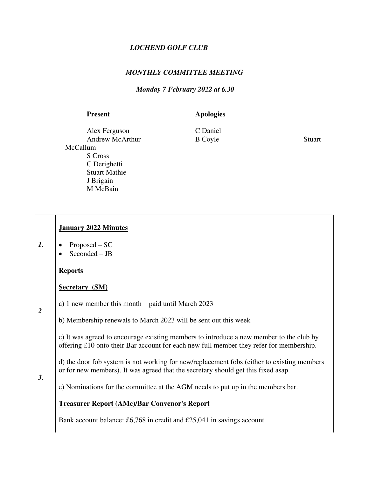# *LOCHEND GOLF CLUB*

## *MONTHLY COMMITTEE MEETING*

### *Monday 7 February 2022 at 6.30*

### Present **Apologies**

Alex FergusonC Daniel Andrew McArthur B Coyle Stuart McCallum S Cross C Derighetti Stuart Mathie J Brigain M McBain

# *1. 2 3.*  **January 2022 Minutes**  • Proposed – SC  $Seconded - JB$  **Reports Secretary (SM)** a) 1 new member this month – paid until March 2023 b) Membership renewals to March 2023 will be sent out this week c) It was agreed to encourage existing members to introduce a new member to the club by offering £10 onto their Bar account for each new full member they refer for membership. d) the door fob system is not working for new/replacement fobs (either to existing members or for new members). It was agreed that the secretary should get this fixed asap. e) Nominations for the committee at the AGM needs to put up in the members bar. **Treasurer Report (AMc)/Bar Convenor's Report**

Bank account balance: £6,768 in credit and £25,041 in savings account.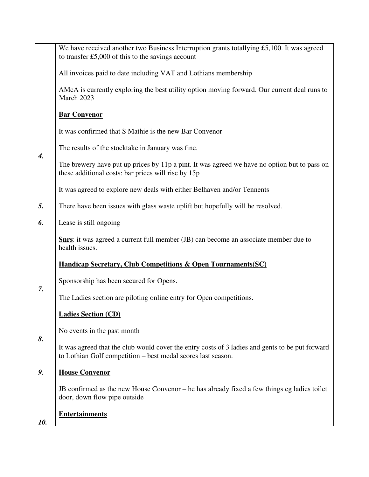|                    | We have received another two Business Interruption grants totallying £5,100. It was agreed<br>to transfer £5,000 of this to the savings account                 |
|--------------------|-----------------------------------------------------------------------------------------------------------------------------------------------------------------|
|                    | All invoices paid to date including VAT and Lothians membership                                                                                                 |
|                    | AMcA is currently exploring the best utility option moving forward. Our current deal runs to<br>March 2023                                                      |
|                    | <b>Bar Convenor</b>                                                                                                                                             |
|                    | It was confirmed that S Mathie is the new Bar Convenor                                                                                                          |
| $\boldsymbol{4}$ . | The results of the stocktake in January was fine.                                                                                                               |
|                    | The brewery have put up prices by 11p a pint. It was agreed we have no option but to pass on<br>these additional costs: bar prices will rise by 15p             |
|                    | It was agreed to explore new deals with either Belhaven and/or Tennents                                                                                         |
| 5.                 | There have been issues with glass waste uplift but hopefully will be resolved.                                                                                  |
| 6.                 | Lease is still ongoing                                                                                                                                          |
|                    | <b>Shrs:</b> it was agreed a current full member (JB) can become an associate member due to<br>health issues.                                                   |
|                    | <b>Handicap Secretary, Club Competitions &amp; Open Tournaments (SC)</b>                                                                                        |
| 7.                 | Sponsorship has been secured for Opens.                                                                                                                         |
|                    | The Ladies section are piloting online entry for Open competitions.                                                                                             |
|                    | <b>Ladies Section (CD)</b>                                                                                                                                      |
| 8.                 | No events in the past month                                                                                                                                     |
|                    | It was agreed that the club would cover the entry costs of 3 ladies and gents to be put forward<br>to Lothian Golf competition – best medal scores last season. |
| 9.                 | <b>House Convenor</b>                                                                                                                                           |
|                    | JB confirmed as the new House Convenor – he has already fixed a few things eg ladies toilet<br>door, down flow pipe outside                                     |
| 10.                | <b>Entertainments</b>                                                                                                                                           |